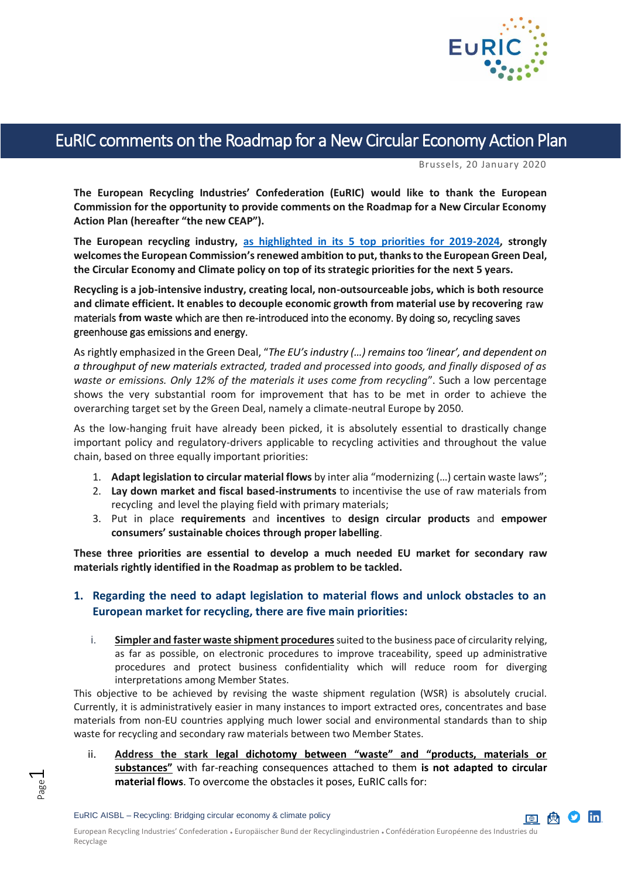

# EuRIC comments on the Roadmap for a New Circular Economy Action Plan

Brussels, 20 January 2020

**The European Recycling Industries' Confederation (EuRIC) would like to thank the European Commission for the opportunity to provide comments on the Roadmap for a New Circular Economy Action Plan (hereafter "the new CEAP").**

**The European recycling industry, [as highlighted in its 5 top priorities for 2019-2024,](https://www.euric-aisbl.eu/position-papers/item/325-top-5-priorities-of-the-recycling-industry-for-the-period-2019-2024-eriod-2019-2024) strongly welcomes the European Commission's renewed ambition to put, thanks to the European Green Deal, the Circular Economy and Climate policy on top of its strategic priorities for the next 5 years.** 

**Recycling is a job-intensive industry, creating local, non-outsourceable jobs, which is both resource and climate efficient. It enables to decouple economic growth from material use by recovering** raw materials **from waste** which are then re-introduced into the economy. By doing so, recycling saves greenhouse gas emissions and energy.

As rightly emphasized in the Green Deal, "*The EU's industry (…) remains too 'linear', and dependent on a throughput of new materials extracted, traded and processed into goods, and finally disposed of as waste or emissions. Only 12% of the materials it uses come from recycling*". Such a low percentage shows the very substantial room for improvement that has to be met in order to achieve the overarching target set by the Green Deal, namely a climate-neutral Europe by 2050.

As the low-hanging fruit have already been picked, it is absolutely essential to drastically change important policy and regulatory-drivers applicable to recycling activities and throughout the value chain, based on three equally important priorities:

- 1. **Adapt legislation to circular material flows** by inter alia "modernizing (…) certain waste laws";
- 2. **Lay down market and fiscal based-instruments** to incentivise the use of raw materials from recycling and level the playing field with primary materials;
- 3. Put in place **requirements** and **incentives** to **design circular products** and **empower consumers' sustainable choices through proper labelling**.

**These three priorities are essential to develop a much needed EU market for secondary raw materials rightly identified in the Roadmap as problem to be tackled.**

### **1. Regarding the need to adapt legislation to material flows and unlock obstacles to an European market for recycling, there are five main priorities:**

i. **Simpler and faster waste shipment procedures**suited to the business pace of circularity relying, as far as possible, on electronic procedures to improve traceability, speed up administrative procedures and protect business confidentiality which will reduce room for diverging interpretations among Member States.

This objective to be achieved by revising the waste shipment regulation (WSR) is absolutely crucial. Currently, it is administratively easier in many instances to import extracted ores, concentrates and base materials from non-EU countries applying much lower social and environmental standards than to ship waste for recycling and secondary raw materials between two Member States.

ii. **Address the stark legal dichotomy between "waste" and "products, materials or substances"** with far-reaching consequences attached to them **is not adapted to circular material flows**. To overcome the obstacles it poses, EuRIC calls for:

Page  $\overline{\phantom{0}}$ 

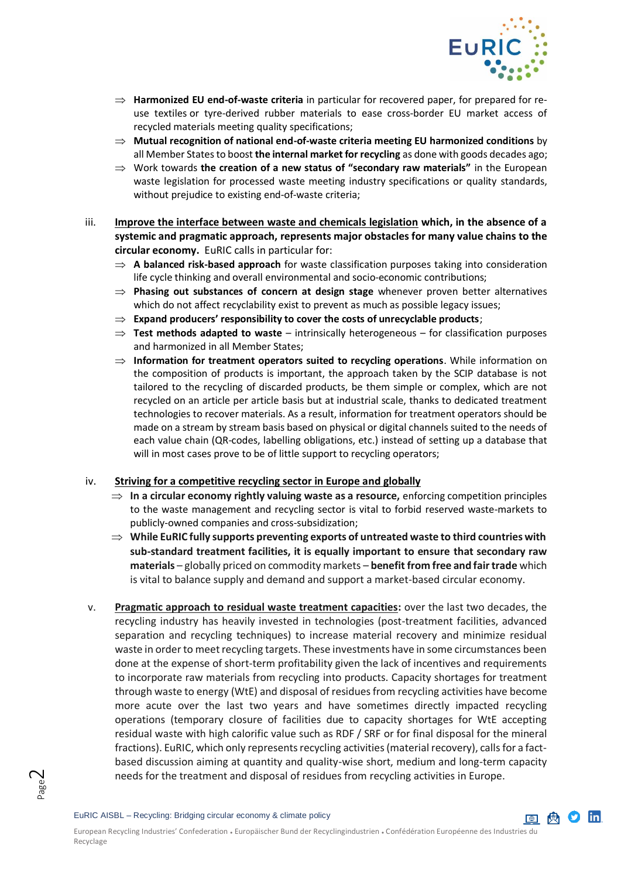

- $\Rightarrow$  **Harmonized EU end-of-waste criteria** in particular for recovered paper, for prepared for reuse textiles or tyre-derived rubber materials to ease cross-border EU market access of recycled materials meeting quality specifications;
- **Mutual recognition of national end-of-waste criteria meeting EU harmonized conditions** by all Member States to boost **the internal market for recycling** as done with goods decades ago;
- Work towards **the creation of a new status of "secondary raw materials"** in the European waste legislation for processed waste meeting industry specifications or quality standards, without prejudice to existing end-of-waste criteria;
- iii. **Improve the interface between waste and chemicals legislation which, in the absence of a systemic and pragmatic approach, represents major obstacles for many value chains to the circular economy.** EuRIC calls in particular for:
	- **A balanced risk-based approach** for waste classification purposes taking into consideration life cycle thinking and overall environmental and socio-economic contributions;
	- **Phasing out substances of concern at design stage** whenever proven better alternatives which do not affect recyclability exist to prevent as much as possible legacy issues;
	- $\Rightarrow$  Expand producers' responsibility to cover the costs of unrecyclable products;
	- $\Rightarrow$  Test methods adapted to waste intrinsically heterogeneous for classification purposes and harmonized in all Member States;
	- **Information for treatment operators suited to recycling operations**. While information on the composition of products is important, the approach taken by the SCIP database is not tailored to the recycling of discarded products, be them simple or complex, which are not recycled on an article per article basis but at industrial scale, thanks to dedicated treatment technologies to recover materials. As a result, information for treatment operators should be made on a stream by stream basis based on physical or digital channels suited to the needs of each value chain (QR-codes, labelling obligations, etc.) instead of setting up a database that will in most cases prove to be of little support to recycling operators:

#### iv. **Striving for a competitive recycling sector in Europe and globally**

- $\Rightarrow$  In a circular economy rightly valuing waste as a resource, enforcing competition principles to the waste management and recycling sector is vital to forbid reserved waste-markets to publicly-owned companies and cross-subsidization;
- **While EuRIC fully supports preventing exports of untreated waste to third countries with sub-standard treatment facilities, it is equally important to ensure that secondary raw materials** – globally priced on commodity markets – **benefit from free and fair trade** which is vital to balance supply and demand and support a market-based circular economy.
- v. **Pragmatic approach to residual waste treatment capacities:** over the last two decades, the recycling industry has heavily invested in technologies (post-treatment facilities, advanced separation and recycling techniques) to increase material recovery and minimize residual waste in order to meet recycling targets. These investments have in some circumstances been done at the expense of short-term profitability given the lack of incentives and requirements to incorporate raw materials from recycling into products. Capacity shortages for treatment through waste to energy (WtE) and disposal of residues from recycling activities have become more acute over the last two years and have sometimes directly impacted recycling operations (temporary closure of facilities due to capacity shortages for WtE accepting residual waste with high calorific value such as RDF / SRF or for final disposal for the mineral fractions). EuRIC, which only represents recycling activities (material recovery), calls for a factbased discussion aiming at quantity and quality-wise short, medium and long-term capacity needs for the treatment and disposal of residues from recycling activities in Europe.

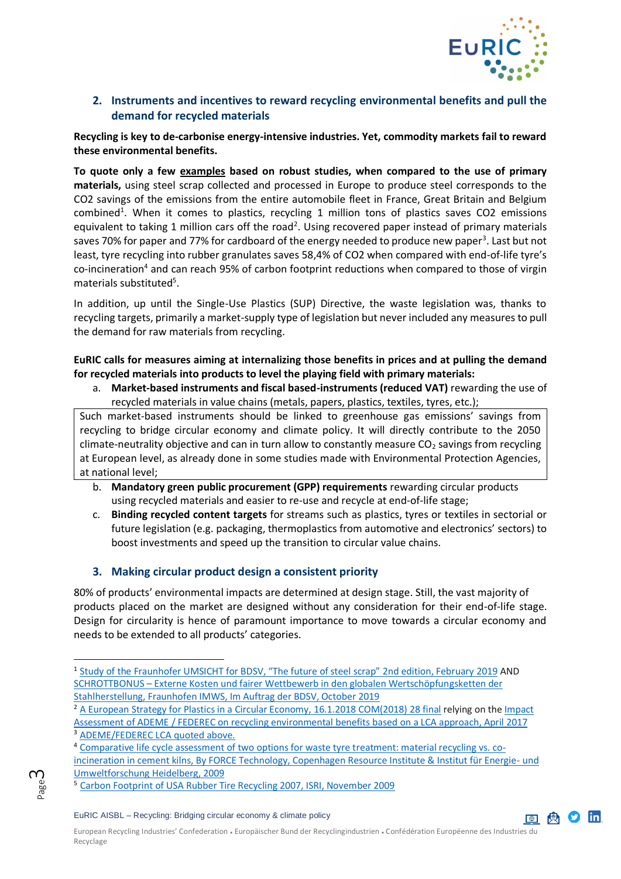

## **2. Instruments and incentives to reward recycling environmental benefits and pull the demand for recycled materials**

**Recycling is key to de-carbonise energy-intensive industries. Yet, commodity markets fail to reward these environmental benefits.**

**To quote only a few examples based on robust studies, when compared to the use of primary materials,** using steel scrap collected and processed in Europe to produce steel corresponds to the CO2 savings of the emissions from the entire automobile fleet in France, Great Britain and Belgium combined<sup>1</sup>. When it comes to plastics, recycling 1 million tons of plastics saves CO2 emissions equivalent to taking 1 million cars off the road<sup>2</sup>. Using recovered paper instead of primary materials saves 70% for paper and 77% for cardboard of the energy needed to produce new paper<sup>3</sup>. Last but not least, tyre recycling into rubber granulates saves 58,4% of CO2 when compared with end-of-life tyre's co-incineration<sup>4</sup> and can reach 95% of carbon footprint reductions when compared to those of virgin materials substituted<sup>5</sup>.

In addition, up until the Single-Use Plastics (SUP) Directive, the waste legislation was, thanks to recycling targets, primarily a market-supply type of legislation but never included any measures to pull the demand for raw materials from recycling.

**EuRIC calls for measures aiming at internalizing those benefits in prices and at pulling the demand for recycled materials into products to level the playing field with primary materials:**

a. **Market-based instruments and fiscal based-instruments (reduced VAT)** rewarding the use of recycled materials in value chains (metals, papers, plastics, textiles, tyres, etc.);

Such market-based instruments should be linked to greenhouse gas emissions' savings from recycling to bridge circular economy and climate policy. It will directly contribute to the 2050 climate-neutrality objective and can in turn allow to constantly measure  $CO<sub>2</sub>$  savings from recycling at European level, as already done in some studies made with Environmental Protection Agencies, at national level;

- b. **Mandatory green public procurement (GPP) requirements** rewarding circular products using recycled materials and easier to re-use and recycle at end-of-life stage;
- c. **Binding recycled content targets** for streams such as plastics, tyres or textiles in sectorial or future legislation (e.g. packaging, thermoplastics from automotive and electronics' sectors) to boost investments and speed up the transition to circular value chains.

## **3. Making circular product design a consistent priority**

80% of products' environmental impacts are determined at design stage. Still, the vast majority of products placed on the market are designed without any consideration for their end-of-life stage. Design for circularity is hence of paramount importance to move towards a circular economy and needs to be extended to all products' categories.

#### EuRIC AISBL – Recycling: Bridging circular economy & climate policy





-

<sup>&</sup>lt;sup>1</sup> Study of the [Fraunhofer UMSICHT for BDSV, "The future of steel scrap" 2nd edition, February](https://www.bdsv.org/fileadmin/user_upload/030-Bro-ZuSt-Eng_WEB.pdf) 2019 AND SCHROTTBONUS – [Externe Kosten und fairer Wettbewerb in den globalen Wertschöpfungsketten der](https://www.bdsv.org/unser-service/publikationen/studie-schrottbonus/)  [Stahlherstellung, Fraunhofen IMWS, Im Auftrag der BDSV, October 2019](https://www.bdsv.org/unser-service/publikationen/studie-schrottbonus/)

<sup>2</sup> [A European Strategy for Plastics in a Circular Economy, 16.1.2018 COM\(2018\) 28 final](https://eur-lex.europa.eu/legal-content/EN/TXT/?qid=1516265440535&uri=COM:2018:28:FIN) relying on the Impact Assessment of ADEME / FEDEREC on [recycling environmental benefits based on a LCA approach, April](https://presse.ademe.fr/wp-content/uploads/2017/05/FEDEREC_ACV-du-Recyclage-en-France-VF.pdfhttps:/presse.ademe.fr/wp-content/uploads/2017/05/FEDEREC_ACV-du-Recyclage-en-France-VF.pdf) 2017 <sup>3</sup> [ADEME/FEDEREC LCA quoted above.](https://presse.ademe.fr/wp-content/uploads/2017/05/FEDEREC_ACV-du-Recyclage-en-France-VF.pdfhttps:/presse.ademe.fr/wp-content/uploads/2017/05/FEDEREC_ACV-du-Recyclage-en-France-VF.pdf)

<sup>4</sup> [Comparative life cycle assessment of two options for waste tyre treatment: material recycling vs. co](https://www.genan.eu/wp-content/uploads/2017/04/LCA_Material_recycling_vs._co-incineration_in_cement_kilns.pdf)[incineration in cement kilns, By FORCE Technology, Copenhagen Resource Institute & Institut für Energie-](https://www.genan.eu/wp-content/uploads/2017/04/LCA_Material_recycling_vs._co-incineration_in_cement_kilns.pdf) und [Umweltforschung Heidelberg, 2009](https://www.genan.eu/wp-content/uploads/2017/04/LCA_Material_recycling_vs._co-incineration_in_cement_kilns.pdf)

<sup>5</sup> [Carbon Footprint of USA Rubber Tire Recycling 2007, ISRI, November 2009](https://cmshredders.com/wp-content/uploads/2017/03/FinalRubberTireRecyclingCarbonFootprint.pdf)